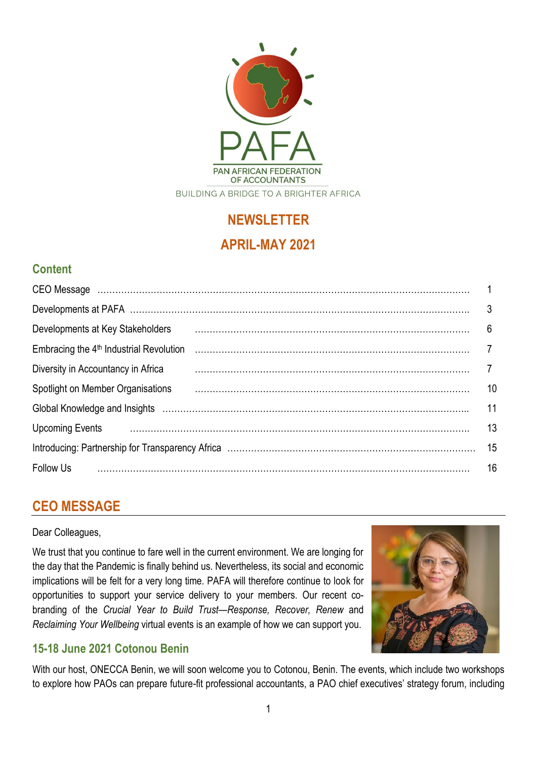

# **NEWSLETTER APRIL-MAY 2021**

## **Content**

| Developments at Key Stakeholders                                                                              | 6  |
|---------------------------------------------------------------------------------------------------------------|----|
| Embracing the 4 <sup>th</sup> Industrial Revolution                                                           |    |
| Diversity in Accountancy in Africa                                                                            |    |
| Spotlight on Member Organisations                                                                             | 10 |
| Global Knowledge and Insights (and continuum continuum continuum control of the Slobal Knowledge and Insights | 11 |
| <b>Upcoming Events</b>                                                                                        | 13 |
|                                                                                                               | 15 |
| Follow Us                                                                                                     | 16 |

## **CEO MESSAGE**

Dear Colleagues,

We trust that you continue to fare well in the current environment. We are longing for the day that the Pandemic is finally behind us. Nevertheless, its social and economic implications will be felt for a very long time. PAFA will therefore continue to look for opportunities to support your service delivery to your members. Our recent cobranding of the *Crucial Year to Build Trust—Response, Recover, Renew* and *Reclaiming Your Wellbeing* virtual events is an example of how we can support you.



## **15-18 June 2021 Cotonou Benin**

With our host, ONECCA Benin, we will soon welcome you to Cotonou, Benin. The events, which include two workshops to explore how PAOs can prepare future-fit professional accountants, a PAO chief executives' strategy forum, including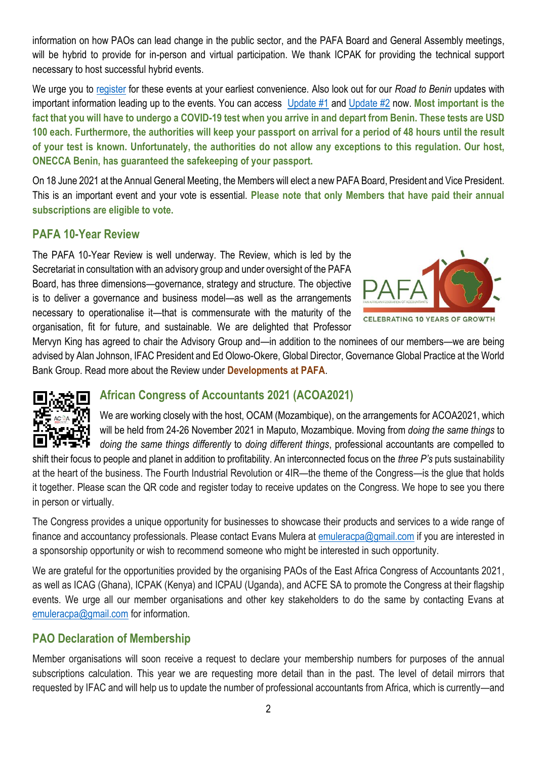information on how PAOs can lead change in the public sector, and the PAFA Board and General Assembly meetings, will be hybrid to provide for in-person and virtual participation. We thank ICPAK for providing the technical support necessary to host successful hybrid events.

We urge you to [register](https://protect-za.mimecast.com/s/1JEjCLg17qcPQBV6cBkWD3?domain=pafa-benin.icpak.com) for these events at your earliest convenience. Also look out for our *Road to Benin* updates with important information leading up to the events. You can access [Update #1](https://pafa.org.za/sites/default/files/2021-05/ROAD_TO_BENIN_ENGLISH.pdf) and [Update #2](https://pafa.org.za/sites/default/files/2021-05/ROAD%20TO%20BENIN%20-%20Info%20Pack_En.pdf) now. **Most important is the fact that you will have to undergo a COVID-19 test when you arrive in and depart from Benin. These tests are USD 100 each. Furthermore, the authorities will keep your passport on arrival for a period of 48 hours until the result of your test is known. Unfortunately, the authorities do not allow any exceptions to this regulation. Our host, ONECCA Benin, has guaranteed the safekeeping of your passport.**

On 18 June 2021 at the Annual General Meeting, the Members will elect a new PAFA Board, President and Vice President. This is an important event and your vote is essential. **Please note that only Members that have paid their annual subscriptions are eligible to vote.**

### **PAFA 10-Year Review**

The PAFA 10-Year Review is well underway. The Review, which is led by the Secretariat in consultation with an advisory group and under oversight of the PAFA Board, has three dimensions—governance, strategy and structure. The objective is to deliver a governance and business model—as well as the arrangements necessary to operationalise it—that is commensurate with the maturity of the organisation, fit for future, and sustainable. We are delighted that Professor



Mervyn King has agreed to chair the Advisory Group and—in addition to the nominees of our members—we are being advised by Alan Johnson, IFAC President and Ed Olowo-Okere, Global Director, Governance Global Practice at the World Bank Group. Read more about the Review under **Developments at PAFA**.



### **African Congress of Accountants 2021 (ACOA2021)**

We are working closely with the host, OCAM (Mozambique), on the arrangements for ACOA2021, which will be held from 24-26 November 2021 in Maputo, Mozambique. Moving from *doing the same things* to *doing the same things differently* to *doing different things*, professional accountants are compelled to

shift their focus to people and planet in addition to profitability. An interconnected focus on the *three P's* puts sustainability at the heart of the business. The Fourth Industrial Revolution or 4IR—the theme of the Congress—is the glue that holds it together. Please scan the QR code and register today to receive updates on the Congress. We hope to see you there in person or virtually.

The Congress provides a unique opportunity for businesses to showcase their products and services to a wide range of finance and accountancy professionals. Please contact Evans Mulera at [emuleracpa@gmail.com](mailto:emuleracpa@gmail.com) if you are interested in a sponsorship opportunity or wish to recommend someone who might be interested in such opportunity.

We are grateful for the opportunities provided by the organising PAOs of the East Africa Congress of Accountants 2021, as well as ICAG (Ghana), ICPAK (Kenya) and ICPAU (Uganda), and ACFE SA to promote the Congress at their flagship events. We urge all our member organisations and other key stakeholders to do the same by contacting Evans at [emuleracpa@gmail.com](mailto:emuleracpa@gmail.com) for information.

### **PAO Declaration of Membership**

Member organisations will soon receive a request to declare your membership numbers for purposes of the annual subscriptions calculation. This year we are requesting more detail than in the past. The level of detail mirrors that requested by IFAC and will help us to update the number of professional accountants from Africa, which is currently—and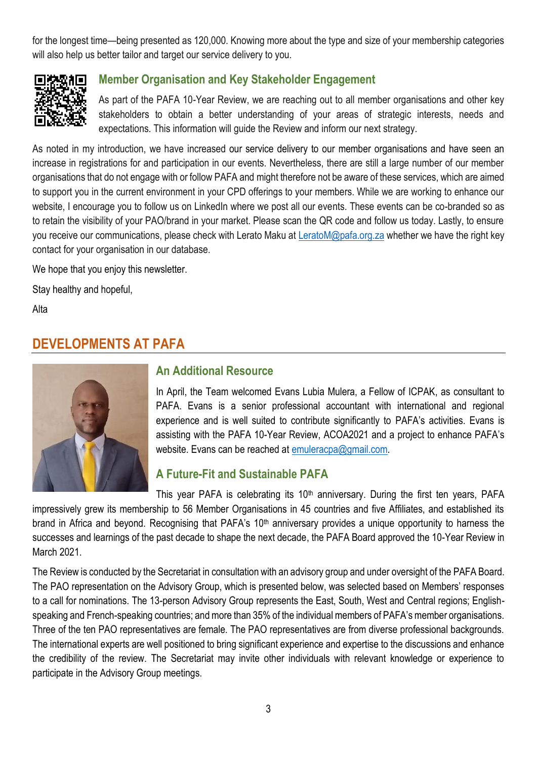for the longest time—being presented as 120,000. Knowing more about the type and size of your membership categories will also help us better tailor and target our service delivery to you.



### **Member Organisation and Key Stakeholder Engagement**

As part of the PAFA 10-Year Review, we are reaching out to all member organisations and other key stakeholders to obtain a better understanding of your areas of strategic interests, needs and expectations. This information will guide the Review and inform our next strategy.

As noted in my introduction, we have increased our service delivery to our member organisations and have seen an increase in registrations for and participation in our events. Nevertheless, there are still a large number of our member organisations that do not engage with or follow PAFA and might therefore not be aware of these services, which are aimed to support you in the current environment in your CPD offerings to your members. While we are working to enhance our website, I encourage you to follow us on LinkedIn where we post all our events. These events can be co-branded so as to retain the visibility of your PAO/brand in your market. Please scan the QR code and follow us today. Lastly, to ensure you receive our communications, please check with Lerato Maku at [LeratoM@pafa.org.za](mailto:LeratoM@pafa.org.za) whether we have the right key contact for your organisation in our database.

We hope that you enjoy this newsletter.

Stay healthy and hopeful,

Alta

## **DEVELOPMENTS AT PAFA**



#### **An Additional Resource**

In April, the Team welcomed Evans Lubia Mulera, a Fellow of ICPAK, as consultant to PAFA. Evans is a senior professional accountant with international and regional experience and is well suited to contribute significantly to PAFA's activities. Evans is assisting with the PAFA 10-Year Review, ACOA2021 and a project to enhance PAFA's website. Evans can be reached at [emuleracpa@gmail.com.](mailto:emuleracpa@gmail.com)

### **A Future-Fit and Sustainable PAFA**

This year PAFA is celebrating its  $10<sup>th</sup>$  anniversary. During the first ten years, PAFA impressively grew its membership to 56 Member Organisations in 45 countries and five Affiliates, and established its brand in Africa and beyond. Recognising that PAFA's 10<sup>th</sup> anniversary provides a unique opportunity to harness the successes and learnings of the past decade to shape the next decade, the PAFA Board approved the 10-Year Review in March 2021.

The Review is conducted by the Secretariat in consultation with an advisory group and under oversight of the PAFA Board. The PAO representation on the Advisory Group, which is presented below, was selected based on Members' responses to a call for nominations. The 13-person Advisory Group represents the East, South, West and Central regions; Englishspeaking and French-speaking countries; and more than 35% of the individual members of PAFA's member organisations. Three of the ten PAO representatives are female. The PAO representatives are from diverse professional backgrounds. The international experts are well positioned to bring significant experience and expertise to the discussions and enhance the credibility of the review. The Secretariat may invite other individuals with relevant knowledge or experience to participate in the Advisory Group meetings.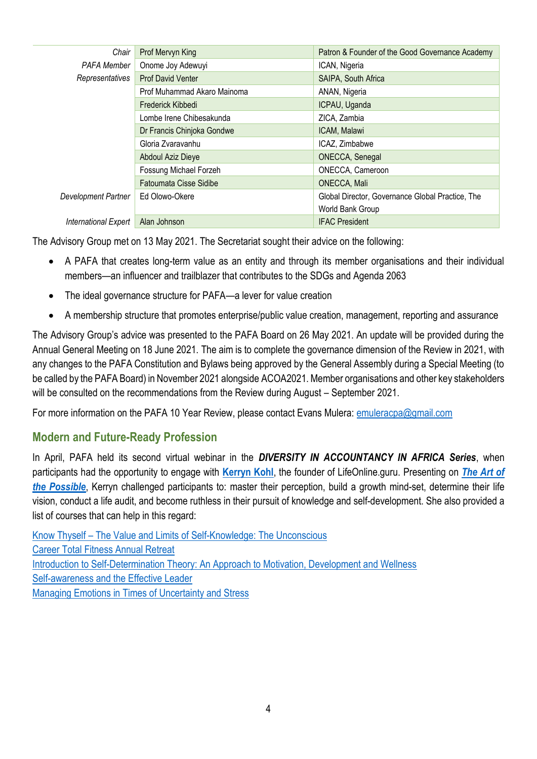| Chair                | Prof Mervyn King              | Patron & Founder of the Good Governance Academy  |
|----------------------|-------------------------------|--------------------------------------------------|
| <b>PAFA Member</b>   | Onome Joy Adewuyi             | ICAN, Nigeria                                    |
| Representatives      | <b>Prof David Venter</b>      | SAIPA, South Africa                              |
|                      | Prof Muhammad Akaro Mainoma   | ANAN, Nigeria                                    |
|                      | Frederick Kibbedi             | ICPAU, Uganda                                    |
|                      | Lombe Irene Chibesakunda      | ZICA, Zambia                                     |
|                      | Dr Francis Chinjoka Gondwe    | ICAM, Malawi                                     |
|                      | Gloria Zvaravanhu             | ICAZ, Zimbabwe                                   |
|                      | Abdoul Aziz Dieye             | <b>ONECCA, Senegal</b>                           |
|                      | Fossung Michael Forzeh        | ONECCA, Cameroon                                 |
|                      | <b>Fatoumata Cisse Sidibe</b> | ONECCA, Mali                                     |
| Development Partner  | Ed Olowo-Okere                | Global Director, Governance Global Practice, The |
|                      |                               | World Bank Group                                 |
| International Expert | Alan Johnson                  | <b>IFAC President</b>                            |

The Advisory Group met on 13 May 2021. The Secretariat sought their advice on the following:

- A PAFA that creates long-term value as an entity and through its member organisations and their individual members—an influencer and trailblazer that contributes to the SDGs and Agenda 2063
- The ideal governance structure for PAFA—a lever for value creation
- A membership structure that promotes enterprise/public value creation, management, reporting and assurance

The Advisory Group's advice was presented to the PAFA Board on 26 May 2021. An update will be provided during the Annual General Meeting on 18 June 2021. The aim is to complete the governance dimension of the Review in 2021, with any changes to the PAFA Constitution and Bylaws being approved by the General Assembly during a Special Meeting (to be called by the PAFA Board) in November 2021 alongside ACOA2021. Member organisations and other key stakeholders will be consulted on the recommendations from the Review during August – September 2021.

For more information on the PAFA 10 Year Review, please contact Evans Mulera: [emuleracpa@gmail.com](mailto:emuleracpa@gmail.com)

### **Modern and Future-Ready Profession**

In April, PAFA held its second virtual webinar in the *DIVERSITY IN ACCOUNTANCY IN AFRICA Series*, when participants had the opportunity to engage with **[Kerryn Kohl](https://lifeonline.guru/team/kerryn-kohl/?currency=AUD)**, the founder of LifeOnline.guru. Presenting on *[The Art of](https://drive.google.com/file/d/1w7MVqcUjROhI8gVFqsEMZbcjq4Niiw3r/view?usp=sharing)  [the Possible](https://drive.google.com/file/d/1w7MVqcUjROhI8gVFqsEMZbcjq4Niiw3r/view?usp=sharing)*, Kerryn challenged participants to: master their perception, build a growth mind-set, determine their life vision, conduct a life audit, and become ruthless in their pursuit of knowledge and self-development. She also provided a list of courses that can help in this regard:

Know Thyself – [The Value and Limits of Self-Knowledge: The Unconscious](https://protect-za.mimecast.com/s/c0MhCElX8jIW6LKqSN-pXx?domain=coursera.org) [Career Total Fitness Annual Retreat](https://protect-za.mimecast.com/s/SgGtCGZXvlcJLko8H7zSGI?domain=coursera.org) [Introduction to Self-Determination Theory: An Approach to Motivation, Development and Wellness](https://protect-za.mimecast.com/s/nxXyCJZKyoc8QZPnuzL491?domain=coursera.org) [Self-awareness and the Effective Leader](https://protect-za.mimecast.com/s/FphhCKO71pHqrO01CAyISY?domain=coursera.org) [Managing Emotions in Times of Uncertainty and Stress](https://protect-za.mimecast.com/s/LHU6CLg17qcPYK53UjGP4g?domain=coursera.org)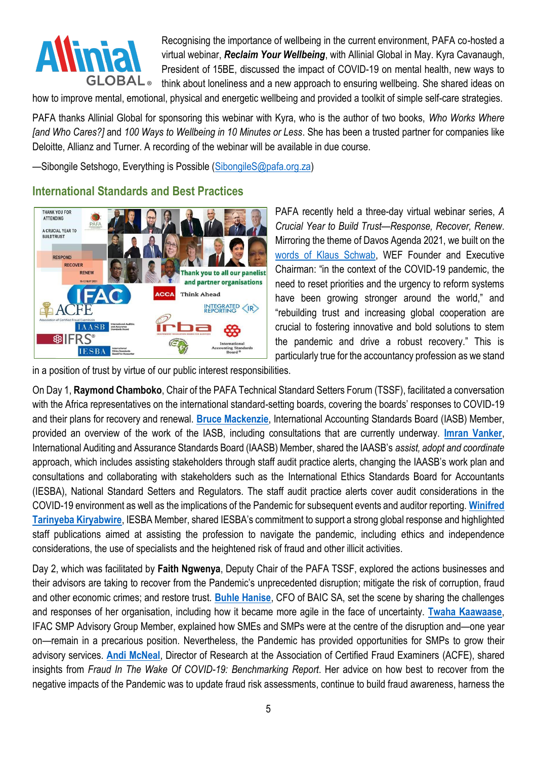

Recognising the importance of wellbeing in the current environment, PAFA co-hosted a virtual webinar, *Reclaim Your Wellbeing*, with Allinial Global in May. [Kyra Cavanaugh,](https://protect-za.mimecast.com/s/L7FzCWnKLGsjy9A8um0yQT?domain=files.prolaera.com) President of 15BE, discussed the impact of COVID-19 on mental health, new ways to think about loneliness and a new approach to ensuring wellbeing. She shared ideas on

how to improve mental, emotional, physical and energetic wellbeing and provided a toolkit of simple self-care strategies.

PAFA thanks Allinial Global for sponsoring this webinar with Kyra, who is the author of two books, *Who Works Where [and Who Cares?]* and *100 Ways to Wellbeing in 10 Minutes or Less*. She has been a trusted partner for companies like Deloitte, Allianz and Turner. A recording of the webinar will be available in due course.

—Sibongile Setshogo, Everything is Possible [\(SibongileS@pafa.org.za\)](mailto:SibongileS@pafa.org.za)

### **International Standards and Best Practices**



PAFA recently held a three-day virtual webinar series, *A Crucial Year to Build Trust—Response, Recover, Renew*. Mirroring the theme of Davos Agenda 2021, we built on the [words of Klaus Schwab,](https://www.weforum.org/press/2021/01/world-leaders-to-meet-during-davos-agenda-in-a-crucial-year-to-rebuild-trust-51d7fa48d1/#:~:text=Heads%20of%20state%20and%20government,and%20partnerships%20needed%20in%202021) WEF Founder and Executive Chairman: "in the context of the COVID-19 pandemic, the need to reset priorities and the urgency to reform systems have been growing stronger around the world," and "rebuilding trust and increasing global cooperation are crucial to fostering innovative and bold solutions to stem the pandemic and drive a robust recovery." This is particularly true for the accountancy profession as we stand

in a position of trust by virtue of our public interest responsibilities.

On Day 1, **Raymond Chamboko**, Chair of the PAFA Technical Standard Setters Forum (TSSF), facilitated a conversation with the Africa representatives on the international standard-setting boards, covering the boards' responses to COVID-19 and their plans for recovery and renewal. **[Bruce Mackenzie](https://pafa.org.za/sites/default/files/2021-05/20210510_Bruce%20Mackenzie.pdf)**, International Accounting Standards Board (IASB) Member, provided an overview of the work of the IASB, including consultations that are currently underway. **[Imran Vanker](https://pafa.org.za/sites/default/files/2021-05/20210510_Imran%20Vanker.pdf)**, International Auditing and Assurance Standards Board (IAASB) Member, shared the IAASB's *assist, adopt and coordinate* approach, which includes assisting stakeholders through staff audit practice alerts, changing the IAASB's work plan and consultations and collaborating with stakeholders such as the International Ethics Standards Board for Accountants (IESBA), National Standard Setters and Regulators. The staff audit practice alerts cover audit considerations in the COVID-19 environment as well as the implications of the Pandemic for subsequent events and auditor reporting. **[Winifred](https://pafa.org.za/sites/default/files/2021-05/20210510_Winifred%20Tarinyeba%20Kiryabwire.pdf)  [Tarinyeba Kiryabwire](https://pafa.org.za/sites/default/files/2021-05/20210510_Winifred%20Tarinyeba%20Kiryabwire.pdf)**, IESBA Member, shared IESBA's commitment to support a strong global response and highlighted staff publications aimed at assisting the profession to navigate the pandemic, including ethics and independence considerations, the use of specialists and the heightened risk of fraud and other illicit activities.

Day 2, which was facilitated by **Faith Ngwenya**, Deputy Chair of the PAFA TSSF, explored the actions businesses and their advisors are taking to recover from the Pandemic's unprecedented disruption; mitigate the risk of corruption, fraud and other economic crimes; and restore trust. **[Buhle Hanise](https://pafa.org.za/sites/default/files/2021-05/20210511_Buhle%20Hanise.pdf)**, CFO of BAIC SA, set the scene by sharing the challenges and responses of her organisation, including how it became more agile in the face of uncertainty. **[Twaha Kaawaase](https://pafa.org.za/sites/default/files/2021-05/20210511_Prof.%20Twaha%20K.%20Kaawaase.pdf)**, IFAC SMP Advisory Group Member, explained how SMEs and SMPs were at the centre of the disruption and—one year on—remain in a precarious position. Nevertheless, the Pandemic has provided opportunities for SMPs to grow their advisory services. **Andi [McNeal](https://pafa.org.za/sites/default/files/2021-05/20210511_Andi%20McNeal.pdf)**, Director of Research at the Association of Certified Fraud Examiners (ACFE), shared insights from *Fraud In The Wake Of COVID-19: Benchmarking Report*. Her advice on how best to recover from the negative impacts of the Pandemic was to update fraud risk assessments, continue to build fraud awareness, harness the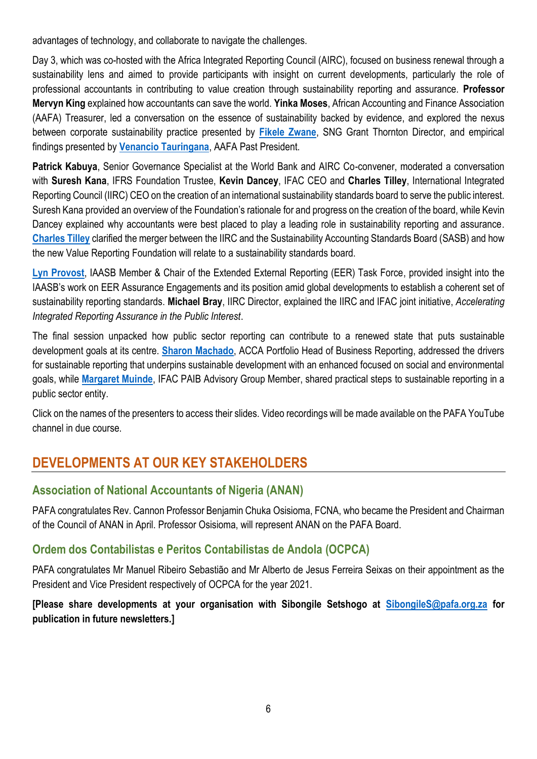advantages of technology, and collaborate to navigate the challenges.

Day 3, which was co-hosted with the Africa Integrated Reporting Council (AIRC), focused on business renewal through a sustainability lens and aimed to provide participants with insight on current developments, particularly the role of professional accountants in contributing to value creation through sustainability reporting and assurance. **Professor Mervyn King** explained how accountants can save the world. **Yinka Moses**, African Accounting and Finance Association (AAFA) Treasurer, led a conversation on the essence of sustainability backed by evidence, and explored the nexus between corporate sustainability practice presented by **[Fikele Zwane](https://pafa.org.za/sites/default/files/2021-05/20210512_Fikile%20Zwane.pdf)**, SNG Grant Thornton Director, and empirical findings presented by **[Venancio Tauringana](https://pafa.org.za/sites/default/files/2021-05/20210512_Professor%20Ven%20Tauringana.pdf)**, AAFA Past President.

**Patrick Kabuya**, Senior Governance Specialist at the World Bank and AIRC Co-convener, moderated a conversation with **Suresh Kana**, IFRS Foundation Trustee, **Kevin Dancey**, IFAC CEO and **Charles Tilley**, International Integrated Reporting Council (IIRC) CEO on the creation of an international sustainability standards board to serve the public interest. Suresh Kana provided an overview of the Foundation's rationale for and progress on the creation of the board, while Kevin Dancey explained why accountants were best placed to play a leading role in sustainability reporting and assurance. **[Charles](https://pafa.org.za/sites/default/files/2021-05/20210512_%20Charles%20Tilley.pdf) Tilley** clarified the merger between the IIRC and the Sustainability Accounting Standards Board (SASB) and how the new Value Reporting Foundation will relate to a sustainability standards board.

**[Lyn Provost](https://drive.google.com/file/d/11kRs73DgE4aywDbOezpO8PfF0Q3g7ORE/view?usp=sharing)**, IAASB Member & Chair of the Extended External Reporting (EER) Task Force, provided insight into the IAASB's work on EER Assurance Engagements and its position amid global developments to establish a coherent set of sustainability reporting standards. **Michael Bray**, IIRC Director, explained the IIRC and IFAC joint initiative, *Accelerating Integrated Reporting Assurance in the Public Interest*.

The final session unpacked how public sector reporting can contribute to a renewed state that puts sustainable development goals at its centre. **[Sharon Machado](https://pafa.org.za/sites/default/files/2021-05/20210512_%20Sharon%20Machado.pdf)**, ACCA Portfolio Head of Business Reporting, addressed the drivers for sustainable reporting that underpins sustainable development with an enhanced focused on social and environmental goals, while **[Margaret Muinde](https://pafa.org.za/sites/default/files/2021-05/20210512_Margaret%20Muinde.pdf)**, IFAC PAIB Advisory Group Member, shared practical steps to sustainable reporting in a public sector entity.

Click on the names of the presenters to access their slides. Video recordings will be made available on the PAFA YouTube channel in due course.

## **DEVELOPMENTS AT OUR KEY STAKEHOLDERS**

### **Association of National Accountants of Nigeria (ANAN)**

PAFA congratulates Rev. Cannon Professor Benjamin Chuka Osisioma, FCNA, who became the President and Chairman of the Council of ANAN in April. Professor Osisioma, will represent ANAN on the PAFA Board.

### **Ordem dos Contabilistas e Peritos Contabilistas de Andola (OCPCA)**

PAFA congratulates Mr Manuel Ribeiro Sebastião and Mr Alberto de Jesus Ferreira Seixas on their appointment as the President and Vice President respectively of OCPCA for the year 2021.

#### **[Please share developments at your organisation with Sibongile Setshogo at [SibongileS@pafa.org.za](mailto:SibongileS@pafa.org.za) for publication in future newsletters.]**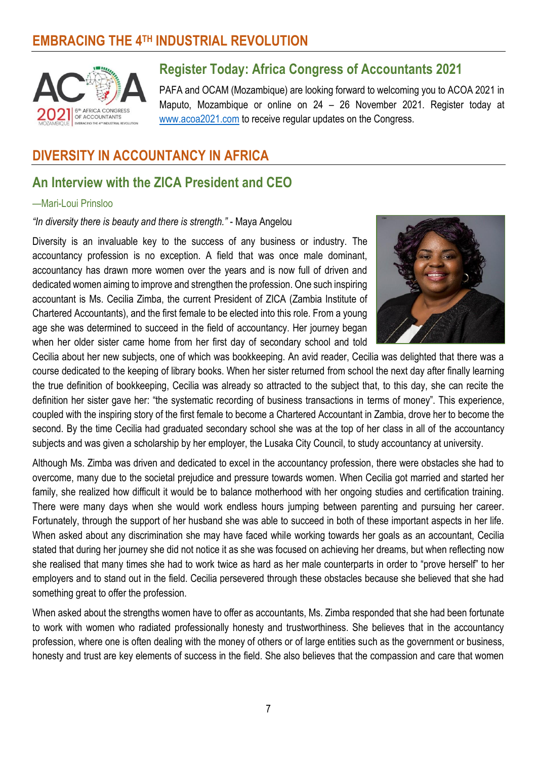## **EMBRACING THE 4TH INDUSTRIAL REVOLUTION**



## **Register Today: Africa Congress of Accountants 2021**

PAFA and OCAM (Mozambique) are looking forward to welcoming you to ACOA 2021 in Maputo, Mozambique or online on 24 – 26 November 2021. Register today at [www.acoa2021.com](http://www.acoa2021.com/) to receive regular updates on the Congress.

## **DIVERSITY IN ACCOUNTANCY IN AFRICA**

## **An Interview with the ZICA President and CEO**

#### —Mari-Loui Prinsloo

*"In diversity there is beauty and there is strength."* - Maya Angelou

Diversity is an invaluable key to the success of any business or industry. The accountancy profession is no exception. A field that was once male dominant, accountancy has drawn more women over the years and is now full of driven and dedicated women aiming to improve and strengthen the profession. One such inspiring accountant is Ms. Cecilia Zimba, the current President of ZICA (Zambia Institute of Chartered Accountants), and the first female to be elected into this role. From a young age she was determined to succeed in the field of accountancy. Her journey began when her older sister came home from her first day of secondary school and told



Cecilia about her new subjects, one of which was bookkeeping. An avid reader, Cecilia was delighted that there was a course dedicated to the keeping of library books. When her sister returned from school the next day after finally learning the true definition of bookkeeping, Cecilia was already so attracted to the subject that, to this day, she can recite the definition her sister gave her: "the systematic recording of business transactions in terms of money". This experience, coupled with the inspiring story of the first female to become a Chartered Accountant in Zambia, drove her to become the second. By the time Cecilia had graduated secondary school she was at the top of her class in all of the accountancy subjects and was given a scholarship by her employer, the Lusaka City Council, to study accountancy at university.

Although Ms. Zimba was driven and dedicated to excel in the accountancy profession, there were obstacles she had to overcome, many due to the societal prejudice and pressure towards women. When Cecilia got married and started her family, she realized how difficult it would be to balance motherhood with her ongoing studies and certification training. There were many days when she would work endless hours jumping between parenting and pursuing her career. Fortunately, through the support of her husband she was able to succeed in both of these important aspects in her life. When asked about any discrimination she may have faced while working towards her goals as an accountant, Cecilia stated that during her journey she did not notice it as she was focused on achieving her dreams, but when reflecting now she realised that many times she had to work twice as hard as her male counterparts in order to "prove herself" to her employers and to stand out in the field. Cecilia persevered through these obstacles because she believed that she had something great to offer the profession.

When asked about the strengths women have to offer as accountants, Ms. Zimba responded that she had been fortunate to work with women who radiated professionally honesty and trustworthiness. She believes that in the accountancy profession, where one is often dealing with the money of others or of large entities such as the government or business, honesty and trust are key elements of success in the field. She also believes that the compassion and care that women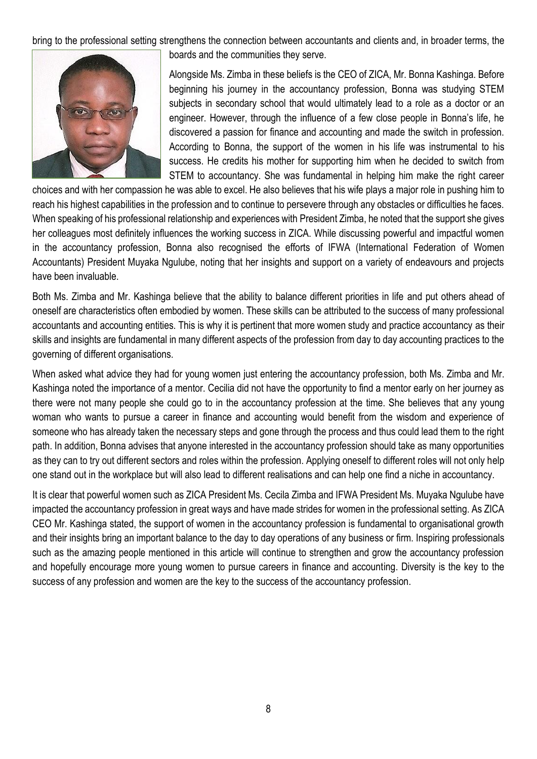bring to the professional setting strengthens the connection between accountants and clients and, in broader terms, the



boards and the communities they serve.

Alongside Ms. Zimba in these beliefs is the CEO of ZICA, Mr. Bonna Kashinga. Before beginning his journey in the accountancy profession, Bonna was studying STEM subjects in secondary school that would ultimately lead to a role as a doctor or an engineer. However, through the influence of a few close people in Bonna's life, he discovered a passion for finance and accounting and made the switch in profession. According to Bonna, the support of the women in his life was instrumental to his success. He credits his mother for supporting him when he decided to switch from STEM to accountancy. She was fundamental in helping him make the right career

choices and with her compassion he was able to excel. He also believes that his wife plays a major role in pushing him to reach his highest capabilities in the profession and to continue to persevere through any obstacles or difficulties he faces. When speaking of his professional relationship and experiences with President Zimba, he noted that the support she gives her colleagues most definitely influences the working success in ZICA. While discussing powerful and impactful women in the accountancy profession, Bonna also recognised the efforts of IFWA (International Federation of Women Accountants) President Muyaka Ngulube, noting that her insights and support on a variety of endeavours and projects have been invaluable.

Both Ms. Zimba and Mr. Kashinga believe that the ability to balance different priorities in life and put others ahead of oneself are characteristics often embodied by women. These skills can be attributed to the success of many professional accountants and accounting entities. This is why it is pertinent that more women study and practice accountancy as their skills and insights are fundamental in many different aspects of the profession from day to day accounting practices to the governing of different organisations.

When asked what advice they had for young women just entering the accountancy profession, both Ms. Zimba and Mr. Kashinga noted the importance of a mentor. Cecilia did not have the opportunity to find a mentor early on her journey as there were not many people she could go to in the accountancy profession at the time. She believes that any young woman who wants to pursue a career in finance and accounting would benefit from the wisdom and experience of someone who has already taken the necessary steps and gone through the process and thus could lead them to the right path. In addition, Bonna advises that anyone interested in the accountancy profession should take as many opportunities as they can to try out different sectors and roles within the profession. Applying oneself to different roles will not only help one stand out in the workplace but will also lead to different realisations and can help one find a niche in accountancy.

It is clear that powerful women such as ZICA President Ms. Cecila Zimba and IFWA President Ms. Muyaka Ngulube have impacted the accountancy profession in great ways and have made strides for women in the professional setting. As ZICA CEO Mr. Kashinga stated, the support of women in the accountancy profession is fundamental to organisational growth and their insights bring an important balance to the day to day operations of any business or firm. Inspiring professionals such as the amazing people mentioned in this article will continue to strengthen and grow the accountancy profession and hopefully encourage more young women to pursue careers in finance and accounting. Diversity is the key to the success of any profession and women are the key to the success of the accountancy profession.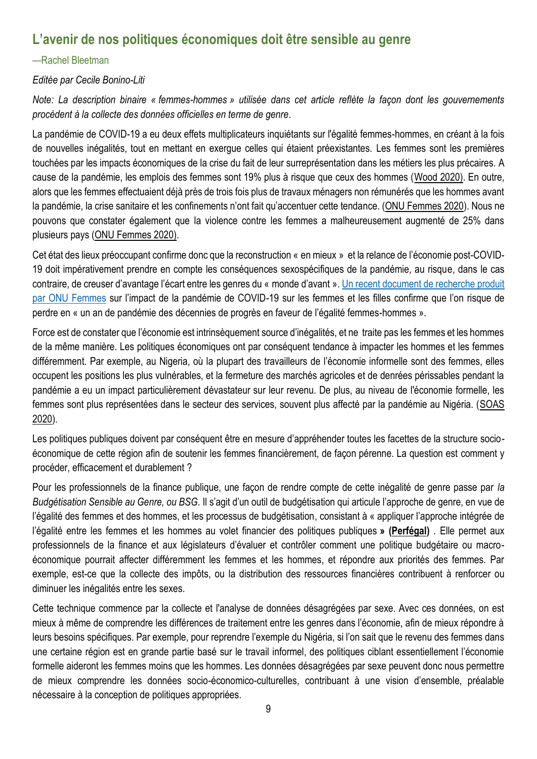## **L'avenir de nos politiques économiques doit être sensible au genre**

#### —Rachel Bleetman

#### *Editée par Cecile Bonino-Liti*

*Note: La description binaire « femmes-hommes » utilisée dans cet article reflète la façon dont les gouvernements procèdent à la collecte des données officielles en terme de genre*.

La pandémie de COVID-19 a eu deux effets multiplicateurs inquiétants sur l'égalité femmes-hommes, en créant à la fois de nouvelles inégalités, tout en mettant en exergue celles qui étaient préexistantes. Les femmes sont les premières touchées par les impacts économiques de la crise du fait de leur surreprésentation dans les métiers les plus précaires. A cause de la pandémie, les emplois des femmes sont 19% plus à risque que ceux des hommes [\(Wood 2020\).](https://www.weforum.org/agenda/2020/09/covid-19-gender-inequality-jobs-economy/) En outre, alors que les femmes effectuaient déjà près de trois fois plus de travaux ménagers non rémunérés que les hommes avant la pandémie, la crise sanitaire et les confinements n'ont fait qu'accentuer cette tendance. [\(ONU Femmes 2020\)](https://interactive.unwomen.org/multimedia/explainer/covid19/fr/index.html?gclid=CjwKCAiA6aSABhApEiwA6Cbm_3v0yOFehjEz5WRvGIb856dQ7O_aFdIij57Dw7T6misg82lMVmcGGRoCGJwQAvD_BwE). Nous ne pouvons que constater également que la violence contre les femmes a malheureusement augmenté de 25% dans plusieurs pays [\(ONU Femmes 2020\)](https://interactive.unwomen.org/multimedia/explainer/covid19/fr/index.html?gclid=CjwKCAiA6aSABhApEiwA6Cbm_3v0yOFehjEz5WRvGIb856dQ7O_aFdIij57Dw7T6misg82lMVmcGGRoCGJwQAvD_BwE).

Cet état des lieux préoccupant confirme donc que la reconstruction « en mieux » et la relance de l'économie post-COVID-19 doit impérativement prendre en compte les conséquences sexospécifiques de la pandémie, au risque, dans le cas contraire, de creuser d'avantage l'écart entre les genres du « monde d'avant ». [Un recent document de recherche produit](https://www.unwomen.org/-/media/headquarters/attachments/sections/library/publications/2020/gender-equality-in-the-wake-of-covid-19-en.pdf?la=en&vs=5142)  [par ONU Femmes](https://www.unwomen.org/-/media/headquarters/attachments/sections/library/publications/2020/gender-equality-in-the-wake-of-covid-19-en.pdf?la=en&vs=5142) sur l'impact de la pandémie de COVID-19 sur les femmes et les filles confirme que l'on risque de perdre en « un an de pandémie des décennies de progrès en faveur de l'égalité femmes-hommes ».

Force est de constater que l'économie est intrinsèquement source d'inégalités, et ne traite pas les femmes et les hommes de la même manière. Les politiques économiques ont par conséquent tendance à impacter les hommes et les femmes différemment. Par exemple, au Nigeria, où la plupart des travailleurs de l'économie informelle sont des femmes, elles occupent les positions les plus vulnérables, et la fermeture des marchés agricoles et de denrées périssables pendant la pandémie a eu un impact particulièrement dévastateur sur leur revenu. De plus, au niveau de l'économie formelle, les femmes sont plus représentées dans le secteur des services, souvent plus affecté par la pandémie au Nigéria. [\(SOAS](https://study.soas.ac.uk/covid-19-in-nigeria-a-gendered-perspective/)  [2020\)](https://study.soas.ac.uk/covid-19-in-nigeria-a-gendered-perspective/).

Les politiques publiques doivent par conséquent être en mesure d'appréhender toutes les facettes de la structure socioéconomique de cette région afin de soutenir les femmes financièrement, de façon pérenne. La question est comment y procéder, efficacement et durablement ?

Pour les professionnels de la finance publique, une façon de rendre compte de cette inégalité de genre passe par *la Budgétisation Sensible au Genre, ou BSG*. Il s'agit d'un outil de budgétisation qui articule l'approche de genre, en vue de l'égalité des femmes et des hommes, et les processus de budgétisation, consistant à « appliquer l'approche intégrée de l'égalité entre les femmes et les hommes au volet financier des politiques publiques **» [\(Perfégal\)](https://www.perfegal.fr/guide-budgetisation-sensible-genre.html)** . Elle permet aux professionnels de la finance et aux législateurs d'évaluer et contrôler comment une politique budgétaire ou macroéconomique pourrait affecter différemment les femmes et les hommes, et répondre aux priorités des femmes. Par exemple, est-ce que la collecte des impôts, ou la distribution des ressources financières contribuent à renforcer ou diminuer les inégalités entre les sexes.

Cette technique commence par la collecte et l'analyse de données désagrégées par sexe. Avec ces données, on est mieux à même de comprendre les différences de traitement entre les genres dans l'économie, afin de mieux répondre à leurs besoins spécifiques. Par exemple, pour reprendre l'exemple du Nigéria, si l'on sait que le revenu des femmes dans une certaine région est en grande partie basé sur le travail informel, des politiques ciblant essentiellement l'économie formelle aideront les femmes moins que les hommes. Les données désagrégées par sexe peuvent donc nous permettre de mieux comprendre les données socio-économico-culturelles, contribuant à une vision d'ensemble, préalable nécessaire à la conception de politiques appropriées.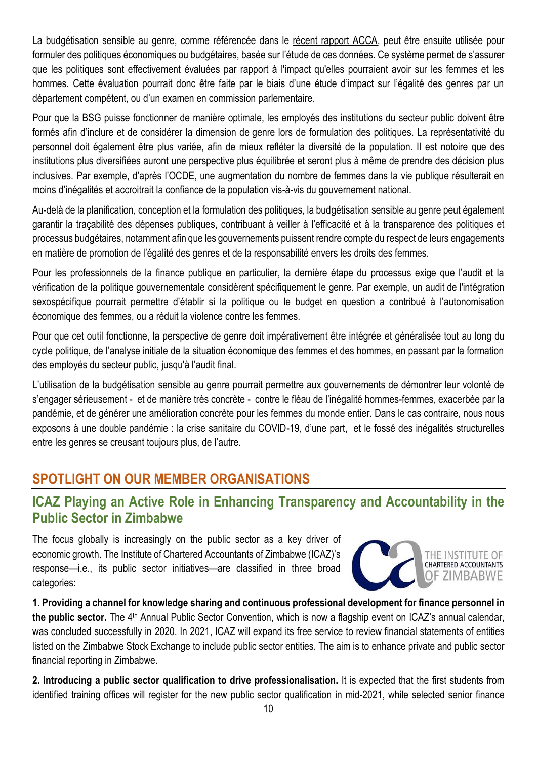La budgétisation sensible au genre, comme référencée dans le [récent rapport ACCA,](https://www.accaglobal.com/gb/en/professional-insights/global-profession/gender-responsive-budgeting.html) peut être ensuite utilisée pour formuler des politiques économiques ou budgétaires, basée sur l'étude de ces données. Ce système permet de s'assurer que les politiques sont effectivement évaluées par rapport à l'impact qu'elles pourraient avoir sur les femmes et les hommes. Cette évaluation pourrait donc être faite par le biais d'une étude d'impact sur l'égalité des genres par un département compétent, ou d'un examen en commission parlementaire.

Pour que la BSG puisse fonctionner de manière optimale, les employés des institutions du secteur public doivent être formés afin d'inclure et de considérer la dimension de genre lors de formulation des politiques. La représentativité du personnel doit également être plus variée, afin de mieux refléter la diversité de la population. Il est notoire que des institutions plus diversifiées auront une perspective plus équilibrée et seront plus à même de prendre des décision plus inclusives. Par exemple, d'après [l'OCD](https://www.oecd.org/governance/women-in-government.htm).)E, une augmentation du nombre de femmes dans la vie publique résulterait en moins d'inégalités et accroitrait la confiance de la population vis-à-vis du gouvernement national.

Au-delà de la planification, conception et la formulation des politiques, la budgétisation sensible au genre peut également garantir la traçabilité des dépenses publiques, contribuant à veiller à l'efficacité et à la transparence des politiques et processus budgétaires, notamment afin que les gouvernements puissent rendre compte du respect de leurs engagements en matière de promotion de l'égalité des genres et de la responsabilité envers les droits des femmes.

Pour les professionnels de la finance publique en particulier, la dernière étape du processus exige que l'audit et la vérification de la politique gouvernementale considèrent spécifiquement le genre. Par exemple, un audit de l'intégration sexospécifique pourrait permettre d'établir si la politique ou le budget en question a contribué à l'autonomisation économique des femmes, ou a réduit la violence contre les femmes.

Pour que cet outil fonctionne, la perspective de genre doit impérativement être intégrée et généralisée tout au long du cycle politique, de l'analyse initiale de la situation économique des femmes et des hommes, en passant par la formation des employés du secteur public, jusqu'à l'audit final.

L'utilisation de la budgétisation sensible au genre pourrait permettre aux gouvernements de démontrer leur volonté de s'engager sérieusement - et de manière très concrète - contre le fléau de l'inégalité hommes-femmes, exacerbée par la pandémie, et de générer une amélioration concrète pour les femmes du monde entier. Dans le cas contraire, nous nous exposons à une double pandémie : la crise sanitaire du COVID-19, d'une part, et le fossé des inégalités structurelles entre les genres se creusant toujours plus, de l'autre.

## **SPOTLIGHT ON OUR MEMBER ORGANISATIONS**

## **ICAZ Playing an Active Role in Enhancing Transparency and Accountability in the Public Sector in Zimbabwe**

The focus globally is increasingly on the public sector as a key driver of economic growth. The Institute of Chartered Accountants of Zimbabwe (ICAZ)'s response—i.e., its public sector initiatives—are classified in three broad categories:



**1. Providing a channel for knowledge sharing and continuous professional development for finance personnel in**  the public sector. The 4<sup>th</sup> Annual Public Sector Convention, which is now a flagship event on ICAZ's annual calendar, was concluded successfully in 2020. In 2021, ICAZ will expand its free service to review financial statements of entities listed on the Zimbabwe Stock Exchange to include public sector entities. The aim is to enhance private and public sector financial reporting in Zimbabwe.

**2. Introducing a public sector qualification to drive professionalisation.** It is expected that the first students from identified training offices will register for the new public sector qualification in mid-2021, while selected senior finance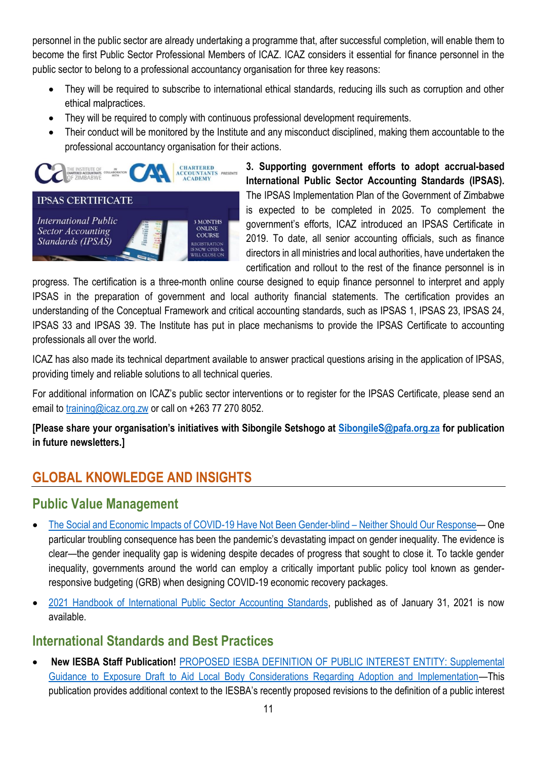personnel in the public sector are already undertaking a programme that, after successful completion, will enable them to become the first Public Sector Professional Members of ICAZ. ICAZ considers it essential for finance personnel in the public sector to belong to a professional accountancy organisation for three key reasons:

- They will be required to subscribe to international ethical standards, reducing ills such as corruption and other ethical malpractices.
- They will be required to comply with continuous professional development requirements.
- Their conduct will be monitored by the Institute and any misconduct disciplined, making them accountable to the professional accountancy organisation for their actions.



**3. Supporting government efforts to adopt accrual-based International Public Sector Accounting Standards (IPSAS).** The IPSAS Implementation Plan of the Government of Zimbabwe is expected to be completed in 2025. To complement the government's efforts, ICAZ introduced an IPSAS Certificate in 2019. To date, all senior accounting officials, such as finance directors in all ministries and local authorities, have undertaken the certification and rollout to the rest of the finance personnel is in

progress. The certification is a three-month online course designed to equip finance personnel to interpret and apply IPSAS in the preparation of government and local authority financial statements. The certification provides an understanding of the Conceptual Framework and critical accounting standards, such as IPSAS 1, IPSAS 23, IPSAS 24, IPSAS 33 and IPSAS 39. The Institute has put in place mechanisms to provide the IPSAS Certificate to accounting professionals all over the world.

ICAZ has also made its technical department available to answer practical questions arising in the application of IPSAS, providing timely and reliable solutions to all technical queries.

For additional information on ICAZ's public sector interventions or to register for the IPSAS Certificate, please send an email to [training@icaz.org.zw](mailto:training@icaz.org.zw) or call on +263 77 270 8052.

**[Please share your organisation's initiatives with Sibongile Setshogo at [SibongileS@pafa.org.za](mailto:SibongileS@pafa.org.za) for publication in future newsletters.]**

## **GLOBAL KNOWLEDGE AND INSIGHTS**

## **Public Value Management**

- [The Social and Economic Impacts of COVID-19 Have Not Been Gender-blind](https://protect-za.mimecast.com/s/DUBwClOkx3HoOOV4TEYfaM?domain=ifac.org)  Neither Should Our Response— One particular troubling consequence has been the pandemic's devastating impact on gender inequality. The evidence is clear—the gender inequality gap is widening despite decades of progress that sought to close it. To tackle gender inequality, governments around the world can employ a critically important public policy tool known as genderresponsive budgeting (GRB) when designing COVID-19 economic recovery packages.
- [2021 Handbook of International Public Sector Accounting Standards,](https://protect-za.mimecast.com/s/x8FBCAnXNVs9rrwqu7tCbW?domain=ipsasb.org) published as of January 31, 2021 is now available.

## **International Standards and Best Practices**

 **New IESBA Staff Publication!** PROPOSED IESBA [DEFINITION OF PUBLIC INTEREST ENTITY: Supplemental](https://protect-za.mimecast.com/s/DzN6C3lrQAIm77yNhpfbzQ?domain=ethicsboard.org)  [Guidance to Exposure Draft to Aid Local Body Considerations Regarding Adoption and Implementation](https://protect-za.mimecast.com/s/DzN6C3lrQAIm77yNhpfbzQ?domain=ethicsboard.org)—This publication provides additional context to the IESBA's recently proposed revisions to the definition of a public interest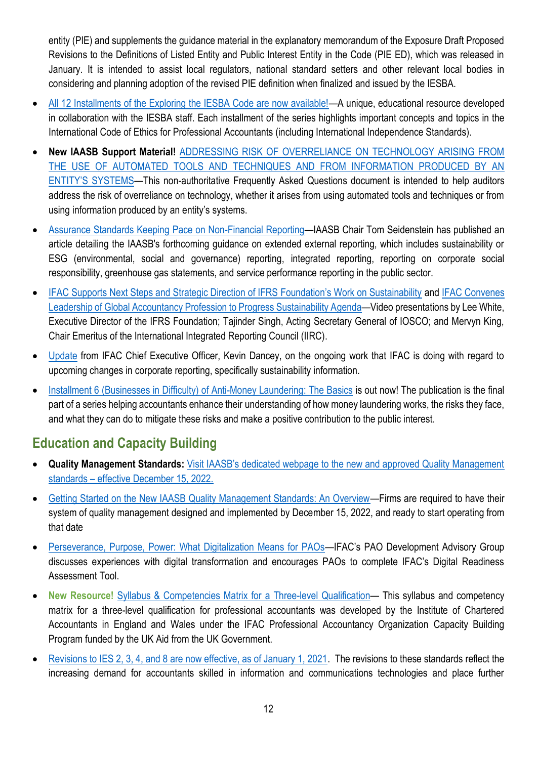entity (PIE) and supplements the guidance material in the explanatory memorandum of the Exposure Draft Proposed Revisions to the Definitions of Listed Entity and Public Interest Entity in the Code (PIE ED), which was released in January. It is intended to assist local regulators, national standard setters and other relevant local bodies in considering and planning adoption of the revised PIE definition when finalized and issued by the IESBA.

- [All 12 Installments of the Exploring the IESBA Code are now available!](https://protect-za.mimecast.com/s/E1clCg5DZ3slPPoQu5lHe4?domain=ifac.org)—A unique, educational resource developed in collaboration with the IESBA staff. Each installment of the series highlights important concepts and topics in the International Code of Ethics for Professional Accountants (including International Independence Standards).
- **New IAASB Support Material!** [ADDRESSING RISK OF OVERRELIANCE ON TECHNOLOGY ARISING FROM](https://protect-za.mimecast.com/s/Mit-C48vQBFJYYDkF5A4xL?domain=iaasb.org)  [THE USE OF AUTOMATED TOOLS AND TECHNIQUES AND FROM INFORMATION PRODUCED BY AN](https://protect-za.mimecast.com/s/Mit-C48vQBFJYYDkF5A4xL?domain=iaasb.org)  [ENTITY'S SYSTEMS—](https://protect-za.mimecast.com/s/Mit-C48vQBFJYYDkF5A4xL?domain=iaasb.org)This non-authoritative Frequently Asked Questions document is intended to help auditors address the risk of overreliance on technology, whether it arises from using automated tools and techniques or from using information produced by an entity's systems.
- [Assurance Standards Keeping Pace on Non-Financial Reporting](https://protect-za.mimecast.com/s/827zCy8Ao3FN668Vt3vPtm?domain=ifac.org)—IAASB Chair Tom Seidenstein has published an article detailing the IAASB's forthcoming guidance on extended external reporting, which includes sustainability or ESG (environmental, social and governance) reporting, integrated reporting, reporting on corporate social responsibility, greenhouse gas statements, and service performance reporting in the public sector.
- IFAC Supports Ne[xt Steps and Strategic Direction of IFRS Foundation's Work on Sustainability](https://protect-za.mimecast.com/s/XDxtC58wQDF0ggXNtVsQzQ?domain=ifac.org) and [IFAC Convenes](https://protect-za.mimecast.com/s/Py7jC66xXEIoVVpwTQzGuC?domain=ifac.org)  [Leadership of Global Accountancy Profession to Progress Sustainability Agenda](https://protect-za.mimecast.com/s/Py7jC66xXEIoVVpwTQzGuC?domain=ifac.org)—Video presentations by Lee White, Executive Director of the IFRS Foundation; Tajinder Singh, Acting Secretary General of IOSCO; and Mervyn King, Chair Emeritus of the International Integrated Reporting Council (IIRC).
- [Update](https://protect-za.mimecast.com/s/9z0kC0goYxc2JJ7Pt8xyI_?domain=mailchi.mp) from IFAC Chief Executive Officer, Kevin Dancey, on the ongoing work that IFAC is doing with regard to upcoming changes in corporate reporting, specifically sustainability information.
- [Installment 6 \(Businesses in Difficulty\) of Anti-Money Laundering: The Basics](https://protect-za.mimecast.com/s/MrgICj2gZ3hjllBNTqXKrm?domain=ifac.org) is out now! The publication is the final part of a series helping accountants enhance their understanding of how money laundering works, the risks they face, and what they can do to mitigate these risks and make a positive contribution to the public interest.

## **Education and Capacity Building**

- **Quality Management Standards:** [Visit IAASB's dedicated webpage to the new and approved Quality Management](https://protect-za.mimecast.com/s/bz5hC1jpWyspnnPWcOSor6?domain=iaasb.org)  standards – [effective December 15, 2022.](https://protect-za.mimecast.com/s/bz5hC1jpWyspnnPWcOSor6?domain=iaasb.org)
- [Getting Started on the New IAASB Quality Management Standards: An Overview](https://protect-za.mimecast.com/s/r5VHC2Rqx0FkKKByTLA-87?domain=ifac.org)—Firms are required to have their system of quality management designed and implemented by December 15, 2022, and ready to start operating from that date
- [Perseverance, Purpose, Power: What Digitalization Means for PAOs](https://protect-za.mimecast.com/s/HcRLCk5j83snYYKGfj4a1_?domain=ifac.org)—IFAC's PAO Development Advisory Group discusses experiences with digital transformation and encourages PAOs to complete IFAC's Digital Readiness Assessment Tool.
- **New Resource!** [Syllabus & Competencies Matrix for](https://protect-za.mimecast.com/s/CUpBCvgxl3cWOOYVhKHyeD?domain=ifac.org) a Three-level Qualification— This syllabus and competency matrix for a three-level qualification for professional accountants was developed by the Institute of Chartered Accountants in England and Wales under the IFAC Professional Accountancy Organization Capacity Building Program funded by the UK Aid from the UK Government.
- [Revisions to IES 2, 3, 4, and 8 are now effective, as of January 1, 2021.](https://protect-za.mimecast.com/s/lxMACwjyV3sL00qrt7Y2of?domain=education.ifac.org) The revisions to these standards reflect the increasing demand for accountants skilled in information and communications technologies and place further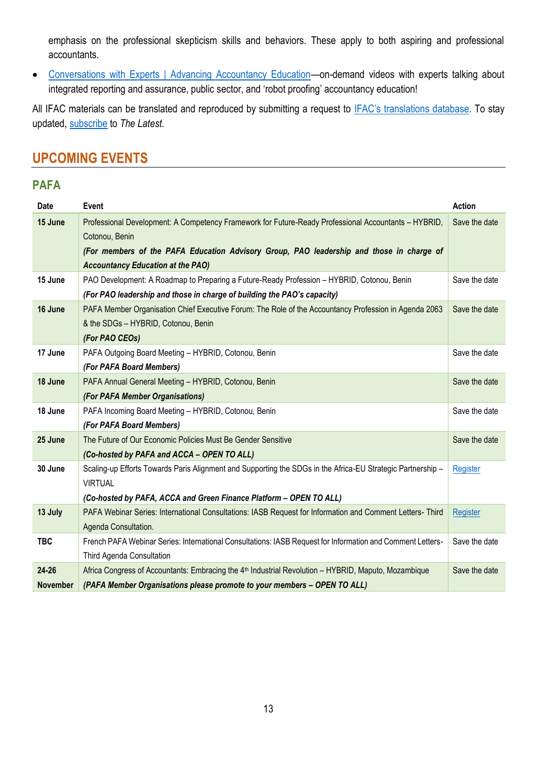emphasis on the professional skepticism skills and behaviors. These apply to both aspiring and professional accountants.

 [Conversations with Experts | Advancing Accountancy Education](https://protect-za.mimecast.com/s/1EIPCxGzn3TJmm7NFpYndj?domain=education.ifac.org)—on-demand videos with experts talking about integrated reporting and assurance, public sector, and 'robot proofing' accountancy education!

All IFAC materials can be translated and reproduced by submitting a request to [IFAC's translations](https://protect-za.mimecast.com/s/6vgvCKO71pHqqmO9fMD0OQ?domain=ifac.org) database. To stay updated, [subscribe](https://protect-za.mimecast.com/s/DnSSCLg17qcPP4KXuqF8PO?domain=ifac.org) to *The Latest.*

## **UPCOMING EVENTS**

#### **PAFA**

| Date            | Event                                                                                                            | <b>Action</b> |
|-----------------|------------------------------------------------------------------------------------------------------------------|---------------|
| 15 June         | Professional Development: A Competency Framework for Future-Ready Professional Accountants - HYBRID,             | Save the date |
|                 | Cotonou, Benin                                                                                                   |               |
|                 | (For members of the PAFA Education Advisory Group, PAO leadership and those in charge of                         |               |
|                 | <b>Accountancy Education at the PAO)</b>                                                                         |               |
| 15 June         | PAO Development: A Roadmap to Preparing a Future-Ready Profession - HYBRID, Cotonou, Benin                       | Save the date |
|                 | (For PAO leadership and those in charge of building the PAO's capacity)                                          |               |
| 16 June         | PAFA Member Organisation Chief Executive Forum: The Role of the Accountancy Profession in Agenda 2063            | Save the date |
|                 | & the SDGs - HYBRID, Cotonou, Benin                                                                              |               |
|                 | (For PAO CEOs)                                                                                                   |               |
| 17 June         | PAFA Outgoing Board Meeting - HYBRID, Cotonou, Benin                                                             | Save the date |
|                 | (For PAFA Board Members)                                                                                         |               |
| 18 June         | PAFA Annual General Meeting - HYBRID, Cotonou, Benin                                                             | Save the date |
|                 | (For PAFA Member Organisations)                                                                                  |               |
| 18 June         | PAFA Incoming Board Meeting - HYBRID, Cotonou, Benin                                                             | Save the date |
|                 | (For PAFA Board Members)                                                                                         |               |
| 25 June         | The Future of Our Economic Policies Must Be Gender Sensitive                                                     | Save the date |
|                 | (Co-hosted by PAFA and ACCA - OPEN TO ALL)                                                                       |               |
| 30 June         | Scaling-up Efforts Towards Paris Alignment and Supporting the SDGs in the Africa-EU Strategic Partnership -      | Register      |
|                 | <b>VIRTUAL</b>                                                                                                   |               |
|                 | (Co-hosted by PAFA, ACCA and Green Finance Platform - OPEN TO ALL)                                               |               |
| 13 July         | PAFA Webinar Series: International Consultations: IASB Request for Information and Comment Letters- Third        | Register      |
|                 | Agenda Consultation.                                                                                             |               |
| <b>TBC</b>      | French PAFA Webinar Series: International Consultations: IASB Request for Information and Comment Letters-       | Save the date |
|                 | Third Agenda Consultation                                                                                        |               |
| $24 - 26$       | Africa Congress of Accountants: Embracing the 4 <sup>th</sup> Industrial Revolution - HYBRID, Maputo, Mozambique | Save the date |
| <b>November</b> | (PAFA Member Organisations please promote to your members - OPEN TO ALL)                                         |               |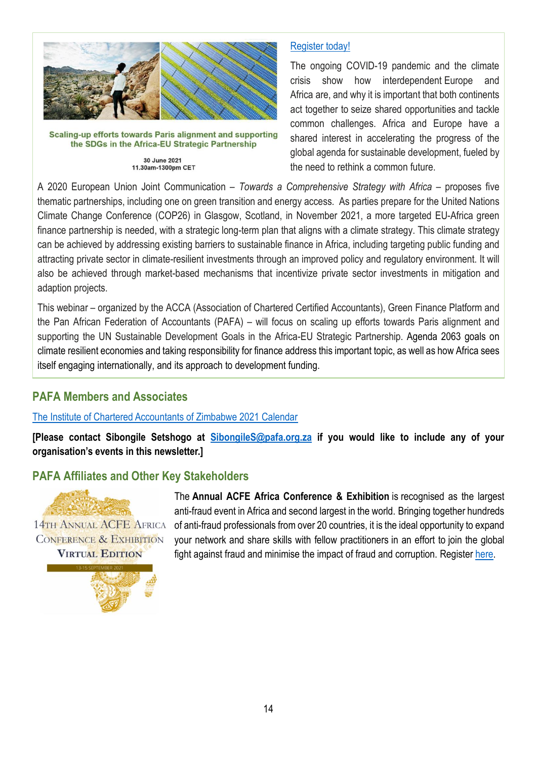

Scaling-up efforts towards Paris alignment and supporting the SDGs in the Africa-EU Strategic Partnership

30 June 2021 11.30am-1300pm CET

### [Register](https://protect-za.mimecast.com/s/dkf0Cvgxl3cWAgLwUQn7To?domain=gbr01.safelinks.protection.outlook.com) today!

The ongoing COVID-19 pandemic and the climate crisis show how interdependent Europe and Africa are, and why it is important that both continents act together to seize shared opportunities and tackle common challenges. Africa and Europe have a shared interest in accelerating the progress of the global agenda for sustainable development, fueled by the need to rethink a common future.

A 2020 European Union Joint Communication – *Towards a Comprehensive Strategy with Africa* – proposes five thematic partnerships, including one on green transition and energy access. As parties prepare for the United Nations Climate Change Conference (COP26) in Glasgow, Scotland, in November 2021, a more targeted EU-Africa green finance partnership is needed, with a strategic long-term plan that aligns with a climate strategy. This climate strategy can be achieved by addressing existing barriers to sustainable finance in Africa, including targeting public funding and attracting private sector in climate-resilient investments through an improved policy and regulatory environment. It will also be achieved through market-based mechanisms that incentivize private sector investments in mitigation and adaption projects.

This webinar – organized by the ACCA (Association of Chartered Certified Accountants), Green Finance Platform and the Pan African Federation of Accountants (PAFA) – will focus on scaling up efforts towards Paris alignment and supporting the UN Sustainable Development Goals in the Africa-EU Strategic Partnership. Agenda 2063 goals on climate resilient economies and taking responsibility for finance address this important topic, as well as how Africa sees itself engaging internationally, and its approach to development funding.

## **PAFA Members and Associates**

### [The Institute of Chartered Accountants of Zimbabwe 2021 Calendar](https://www.icaz.org.zw/imisDocs/ICAZ%202021%20CALENDAR%20fin.pdf)

**[Please contact Sibongile Setshogo at [SibongileS@pafa.org.za](mailto:SibongileS@pafa.org.za) if you would like to include any of your organisation's events in this newsletter.]**

### **PAFA Affiliates and Other Key Stakeholders**



14TH ANNUAL ACFE AFRICA **CONFERENCE & EXHIBITION VIRTUAL EDITION** 



The **Annual ACFE Africa Conference & Exhibition** is recognised as the largest anti-fraud event in Africa and second largest in the world. Bringing together hundreds of anti-fraud professionals from over 20 countries, it is the ideal opportunity to expand your network and share skills with fellow practitioners in an effort to join the global fight against fraud and minimise the impact of fraud and corruption. Register [here.](https://www.acfesa.co.za/13th-Annual-African-Conference)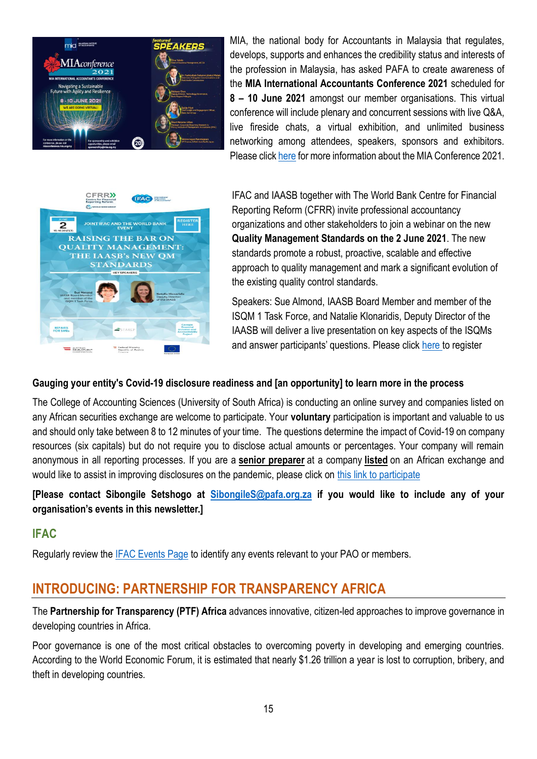

MIA, the national body for Accountants in Malaysia that regulates, develops, supports and enhances the credibility status and interests of the profession in Malaysia, has asked PAFA to create awareness of the **MIA International Accountants Conference 2021** scheduled for **8 – 10 June 2021** amongst our member organisations. This virtual conference will include plenary and concurrent sessions with live Q&A, live fireside chats, a virtual exhibition, and unlimited business networking among attendees, speakers, sponsors and exhibitors. Please click [here](https://protect-za.mimecast.com/s/iRO_CwjyV3sLyvYEiVnBhT?domain=miaconference.mia.org.my) for more information about the MIA Conference 2021.



IFAC and IAASB together with The World Bank Centre for Financial Reporting Reform (CFRR) invite professional accountancy organizations and other stakeholders to join a webinar on the new **Quality Management Standards on the 2 June 2021**. The new standards promote a robust, proactive, scalable and effective approach to quality management and mark a significant evolution of the existing quality control standards.

Speakers: Sue Almond, IAASB Board Member and member of the ISQM 1 Task Force, and Natalie Klonaridis, Deputy Director of the IAASB will deliver a live presentation on key aspects of the ISQMs and answer participants' questions. Please click [here](https://ifac-org.zoom.us/webinar/register/WN_RDxca5WTSQigeopgHPk5Rw) to register

#### **Gauging your entity's Covid-19 disclosure readiness and [an opportunity] to learn more in the process**

The College of Accounting Sciences (University of South Africa) is conducting an online survey and companies listed on any African securities exchange are welcome to participate. Your **voluntary** participation is important and valuable to us and should only take between 8 to 12 minutes of your time. The questions determine the impact of Covid-19 on company resources (six capitals) but do not require you to disclose actual amounts or percentages. Your company will remain anonymous in all reporting processes. If you are a **senior preparer** at a company **listed** on an African exchange and would like to assist in improving disclosures on the pandemic, please click on [this link to participate](https://protect-za.mimecast.com/s/jMddCAnXNVs9lVgxtGoyMC?domain=survey.unisa.ac.za)

**[Please contact Sibongile Setshogo at [SibongileS@pafa.org.za](mailto:SibongileS@pafa.org.za) if you would like to include any of your organisation's events in this newsletter.]**

### **IFAC**

Regularly review the [IFAC Events Page](https://www.ifac.org/events) to identify any events relevant to your PAO or members.

## **INTRODUCING: PARTNERSHIP FOR TRANSPARENCY AFRICA**

The **Partnership for Transparency (PTF) Africa** advances innovative, citizen-led approaches to improve governance in developing countries in Africa.

Poor governance is one of the most critical obstacles to overcoming poverty in developing and emerging countries. According to the World Economic Forum, it is estimated that nearly \$1.26 trillion a year is lost to corruption, bribery, and theft in developing countries.